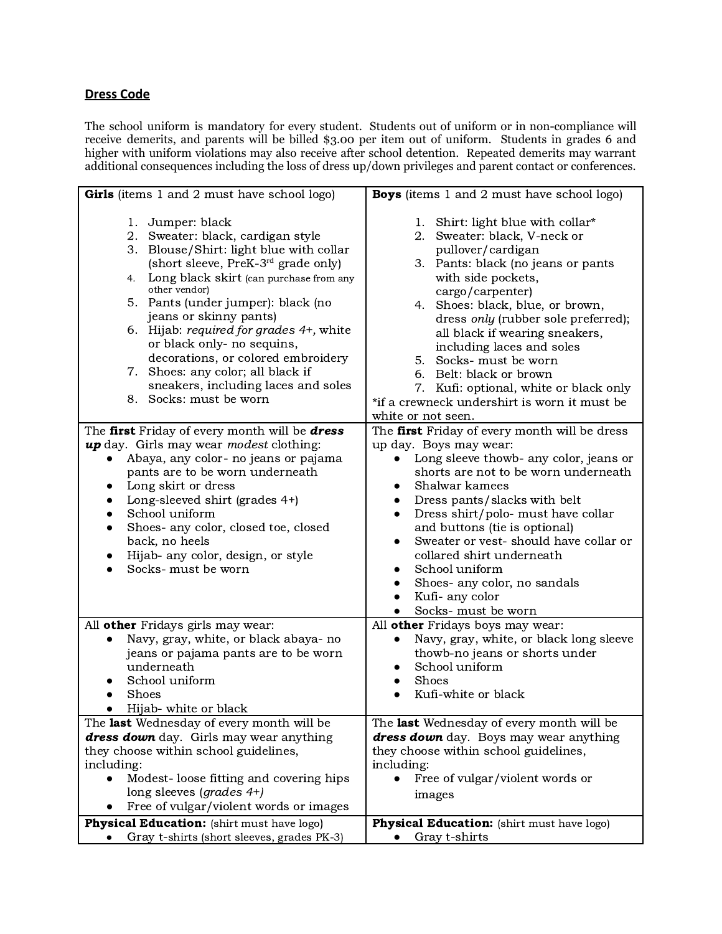## **Dress Code**

The school uniform is mandatory for every student. Students out of uniform or in non-compliance will receive demerits, and parents will be billed \$3.00 per item out of uniform. Students in grades 6 and higher with uniform violations may also receive after school detention. Repeated demerits may warrant additional consequences including the loss of dress up/down privileges and parent contact or conferences.

| Girls (items 1 and 2 must have school logo)                                                                                                                                                                                                                                                                                                                                                                                                                                                                | <b>Boys</b> (items 1 and 2 must have school logo)                                                                                                                                                                                                                                                                                                                                                                                                                                        |
|------------------------------------------------------------------------------------------------------------------------------------------------------------------------------------------------------------------------------------------------------------------------------------------------------------------------------------------------------------------------------------------------------------------------------------------------------------------------------------------------------------|------------------------------------------------------------------------------------------------------------------------------------------------------------------------------------------------------------------------------------------------------------------------------------------------------------------------------------------------------------------------------------------------------------------------------------------------------------------------------------------|
| 1. Jumper: black<br>2. Sweater: black, cardigan style<br>3. Blouse/Shirt: light blue with collar<br>(short sleeve, PreK-3 <sup>rd</sup> grade only)<br>Long black skirt (can purchase from any<br>4.<br>other vendor)<br>5. Pants (under jumper): black (no<br>jeans or skinny pants)<br>6. Hijab: required for grades 4+, white<br>or black only- no sequins,<br>decorations, or colored embroidery<br>7. Shoes: any color; all black if<br>sneakers, including laces and soles<br>8. Socks: must be worn | 1. Shirt: light blue with collar*<br>Sweater: black, V-neck or<br>2.<br>pullover/cardigan<br>3. Pants: black (no jeans or pants<br>with side pockets,<br>cargo/carpenter)<br>4. Shoes: black, blue, or brown,<br>dress only (rubber sole preferred);<br>all black if wearing sneakers,<br>including laces and soles<br>5. Socks- must be worn<br>6. Belt: black or brown<br>7. Kufi: optional, white or black only<br>*if a crewneck undershirt is worn it must be<br>white or not seen. |
| The first Friday of every month will be dress                                                                                                                                                                                                                                                                                                                                                                                                                                                              | The first Friday of every month will be dress                                                                                                                                                                                                                                                                                                                                                                                                                                            |
| up day. Girls may wear modest clothing:                                                                                                                                                                                                                                                                                                                                                                                                                                                                    | up day. Boys may wear:                                                                                                                                                                                                                                                                                                                                                                                                                                                                   |
| Abaya, any color- no jeans or pajama                                                                                                                                                                                                                                                                                                                                                                                                                                                                       | Long sleeve thowb- any color, jeans or                                                                                                                                                                                                                                                                                                                                                                                                                                                   |
| pants are to be worn underneath                                                                                                                                                                                                                                                                                                                                                                                                                                                                            | shorts are not to be worn underneath                                                                                                                                                                                                                                                                                                                                                                                                                                                     |
| Long skirt or dress                                                                                                                                                                                                                                                                                                                                                                                                                                                                                        | Shalwar kamees                                                                                                                                                                                                                                                                                                                                                                                                                                                                           |
| Long-sleeved shirt (grades 4+)                                                                                                                                                                                                                                                                                                                                                                                                                                                                             | Dress pants/slacks with belt                                                                                                                                                                                                                                                                                                                                                                                                                                                             |
| School uniform                                                                                                                                                                                                                                                                                                                                                                                                                                                                                             | Dress shirt/polo- must have collar<br>$\bullet$                                                                                                                                                                                                                                                                                                                                                                                                                                          |
| Shoes- any color, closed toe, closed                                                                                                                                                                                                                                                                                                                                                                                                                                                                       | and buttons (tie is optional)                                                                                                                                                                                                                                                                                                                                                                                                                                                            |
| back, no heels                                                                                                                                                                                                                                                                                                                                                                                                                                                                                             | Sweater or vest- should have collar or<br>$\bullet$                                                                                                                                                                                                                                                                                                                                                                                                                                      |
| Hijab- any color, design, or style                                                                                                                                                                                                                                                                                                                                                                                                                                                                         | collared shirt underneath                                                                                                                                                                                                                                                                                                                                                                                                                                                                |
| Socks- must be worn                                                                                                                                                                                                                                                                                                                                                                                                                                                                                        | School uniform<br>$\bullet$                                                                                                                                                                                                                                                                                                                                                                                                                                                              |
|                                                                                                                                                                                                                                                                                                                                                                                                                                                                                                            | Shoes- any color, no sandals<br>Kufi- any color                                                                                                                                                                                                                                                                                                                                                                                                                                          |
|                                                                                                                                                                                                                                                                                                                                                                                                                                                                                                            | Socks- must be worn                                                                                                                                                                                                                                                                                                                                                                                                                                                                      |
| All other Fridays girls may wear:                                                                                                                                                                                                                                                                                                                                                                                                                                                                          | All other Fridays boys may wear:                                                                                                                                                                                                                                                                                                                                                                                                                                                         |
| Navy, gray, white, or black abaya- no                                                                                                                                                                                                                                                                                                                                                                                                                                                                      | Navy, gray, white, or black long sleeve<br>$\bullet$                                                                                                                                                                                                                                                                                                                                                                                                                                     |
| jeans or pajama pants are to be worn                                                                                                                                                                                                                                                                                                                                                                                                                                                                       | thowb-no jeans or shorts under                                                                                                                                                                                                                                                                                                                                                                                                                                                           |
| underneath                                                                                                                                                                                                                                                                                                                                                                                                                                                                                                 | School uniform                                                                                                                                                                                                                                                                                                                                                                                                                                                                           |
| School uniform                                                                                                                                                                                                                                                                                                                                                                                                                                                                                             | Shoes                                                                                                                                                                                                                                                                                                                                                                                                                                                                                    |
| Shoes                                                                                                                                                                                                                                                                                                                                                                                                                                                                                                      | Kufi-white or black                                                                                                                                                                                                                                                                                                                                                                                                                                                                      |
| Hijab- white or black                                                                                                                                                                                                                                                                                                                                                                                                                                                                                      |                                                                                                                                                                                                                                                                                                                                                                                                                                                                                          |
| The last Wednesday of every month will be                                                                                                                                                                                                                                                                                                                                                                                                                                                                  | The last Wednesday of every month will be                                                                                                                                                                                                                                                                                                                                                                                                                                                |
| dress down day. Girls may wear anything                                                                                                                                                                                                                                                                                                                                                                                                                                                                    | dress down day. Boys may wear anything                                                                                                                                                                                                                                                                                                                                                                                                                                                   |
| they choose within school guidelines,                                                                                                                                                                                                                                                                                                                                                                                                                                                                      | they choose within school guidelines,                                                                                                                                                                                                                                                                                                                                                                                                                                                    |
| including:                                                                                                                                                                                                                                                                                                                                                                                                                                                                                                 | including:                                                                                                                                                                                                                                                                                                                                                                                                                                                                               |
| Modest-loose fitting and covering hips<br>long sleeves (grades 4+)                                                                                                                                                                                                                                                                                                                                                                                                                                         | Free of vulgar/violent words or                                                                                                                                                                                                                                                                                                                                                                                                                                                          |
| Free of vulgar/violent words or images                                                                                                                                                                                                                                                                                                                                                                                                                                                                     | images                                                                                                                                                                                                                                                                                                                                                                                                                                                                                   |
| <b>Physical Education:</b> (shirt must have logo)                                                                                                                                                                                                                                                                                                                                                                                                                                                          | <b>Physical Education:</b> (shirt must have logo)                                                                                                                                                                                                                                                                                                                                                                                                                                        |
| Gray t-shirts (short sleeves, grades PK-3)                                                                                                                                                                                                                                                                                                                                                                                                                                                                 | Gray t-shirts<br>$\bullet$                                                                                                                                                                                                                                                                                                                                                                                                                                                               |